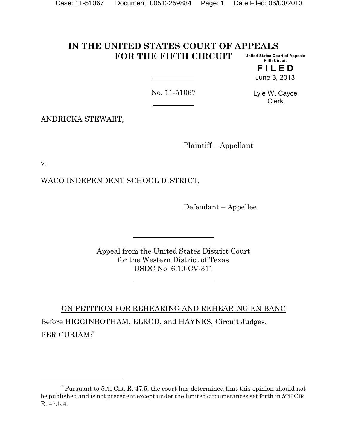## **IN THE UNITED STATES COURT OF APPEALS FOR THE FIFTH CIRCUIT United States Court of Appeals Fifth Circuit**

**F I L E D** June 3, 2013

No. 11-51067

Lyle W. Cayce Clerk

ANDRICKA STEWART,

Plaintiff – Appellant

v.

WACO INDEPENDENT SCHOOL DISTRICT,

Defendant – Appellee

Appeal from the United States District Court for the Western District of Texas USDC No. 6:10-CV-311

ON PETITION FOR REHEARING AND REHEARING EN BANC Before HIGGINBOTHAM, ELROD, and HAYNES, Circuit Judges. PER CURIAM:\*

<sup>\*</sup> Pursuant to 5TH CIR. R. 47.5, the court has determined that this opinion should not be published and is not precedent except under the limited circumstances set forth in 5TH CIR. R. 47.5.4.